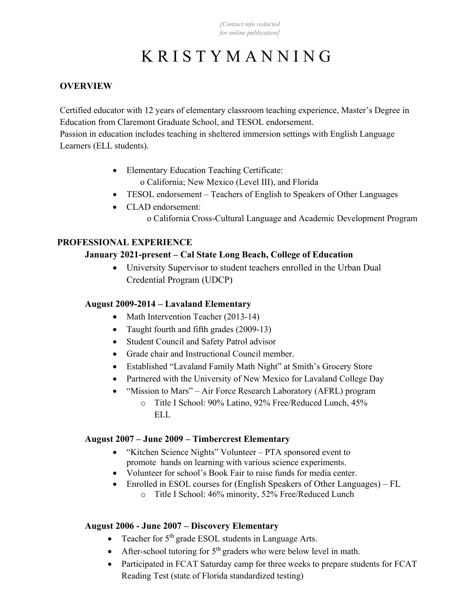# K R I S T Y M A N N I N G

#### **OVERVIEW**

Certified educator with 12 years of elementary classroom teaching experience, Master's Degree in Education from Claremont Graduate School, and TESOL endorsement.

Passion in education includes teaching in sheltered immersion settings with English Language Learners (ELL students).

- Elementary Education Teaching Certificate: o California; New Mexico (Level III), and Florida
- TESOL endorsement Teachers of English to Speakers of Other Languages
- CLAD endorsement: o California Cross-Cultural Language and Academic Development Program

## **PROFESSIONAL EXPERIENCE**

#### **January 2021-present – Cal State Long Beach, College of Education**

• University Supervisor to student teachers enrolled in the Urban Dual Credential Program (UDCP)

#### **August 2009-2014 – Lavaland Elementary**

- Math Intervention Teacher (2013-14)
- Taught fourth and fifth grades (2009-13)
- Student Council and Safety Patrol advisor
- Grade chair and Instructional Council member.
- Established "Lavaland Family Math Night" at Smith's Grocery Store
- Partnered with the University of New Mexico for Lavaland College Day
- "Mission to Mars" Air Force Research Laboratory (AFRL) program o Title I School: 90% Latino, 92% Free/Reduced Lunch, 45% ELL

#### **August 2007 – June 2009 – Timbercrest Elementary**

- "Kitchen Science Nights" Volunteer PTA sponsored event to promote hands on learning with various science experiments.
- Volunteer for school's Book Fair to raise funds for media center.
- Enrolled in ESOL courses for (English Speakers of Other Languages) FL o Title I School: 46% minority, 52% Free/Reduced Lunch

#### **August 2006 - June 2007 – Discovery Elementary**

- Teacher for 5<sup>th</sup> grade ESOL students in Language Arts.
- After-school tutoring for  $5<sup>th</sup>$  graders who were below level in math.
- Participated in FCAT Saturday camp for three weeks to prepare students for FCAT Reading Test (state of Florida standardized testing)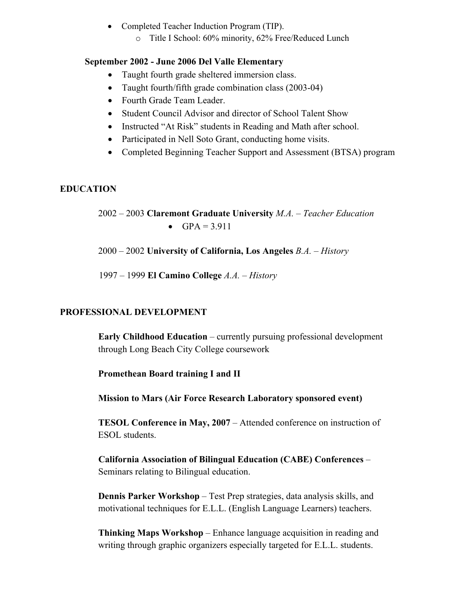- Completed Teacher Induction Program (TIP).
	- o Title I School: 60% minority, 62% Free/Reduced Lunch

## **September 2002 - June 2006 Del Valle Elementary**

- Taught fourth grade sheltered immersion class.
- Taught fourth/fifth grade combination class (2003-04)
- Fourth Grade Team Leader.
- Student Council Advisor and director of School Talent Show
- Instructed "At Risk" students in Reading and Math after school.
- Participated in Nell Soto Grant, conducting home visits.
- Completed Beginning Teacher Support and Assessment (BTSA) program

## **EDUCATION**

2002 – 2003 **Claremont Graduate University** *M.A. – Teacher Education*  •  $GPA = 3.911$ 

2000 – 2002 **University of California, Los Angeles** *B.A. – History* 

1997 – 1999 **El Camino College** *A.A. – History* 

## **PROFESSIONAL DEVELOPMENT**

**Early Childhood Education** – currently pursuing professional development through Long Beach City College coursework

**Promethean Board training I and II** 

**Mission to Mars (Air Force Research Laboratory sponsored event)**

**TESOL Conference in May, 2007** – Attended conference on instruction of ESOL students.

**California Association of Bilingual Education (CABE) Conferences** – Seminars relating to Bilingual education.

**Dennis Parker Workshop** – Test Prep strategies, data analysis skills, and motivational techniques for E.L.L. (English Language Learners) teachers.

**Thinking Maps Workshop** – Enhance language acquisition in reading and writing through graphic organizers especially targeted for E.L.L. students.